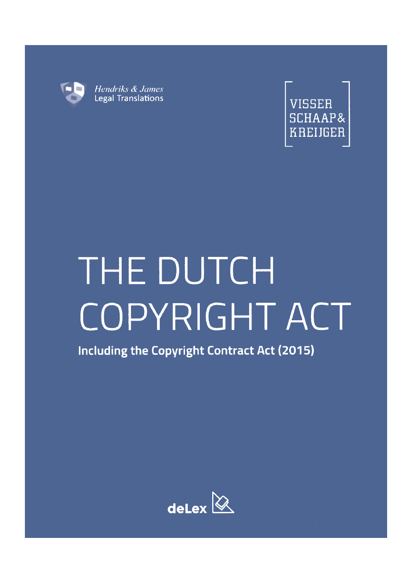



# THE DUTCH COPYRIGHT ACT

Including the Copyright Contract Act (2015)

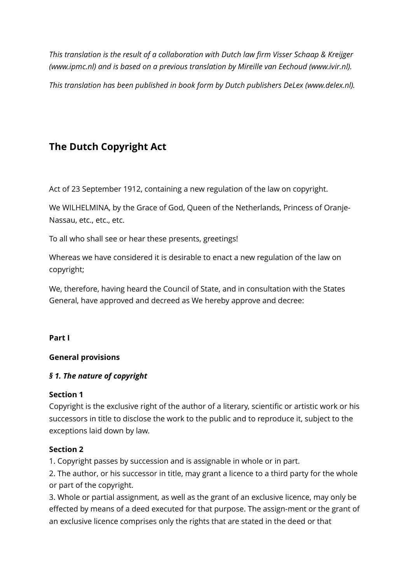*This translation is the result of a collaboration with Dutch law firm Visser Schaap & Kreijger (www.ipmc.nl) and is based on a previous translation by Mireille van Eechoud (www.ivir.nl).* 

*This translation has been published in book form by Dutch publishers DeLex (www.delex.nl).* 

# **The Dutch Copyright Act**

Act of 23 September 1912, containing a new regulation of the law on copyright.

We WILHELMINA, by the Grace of God, Queen of the Netherlands, Princess of Oranje-Nassau, etc., etc., etc.

To all who shall see or hear these presents, greetings!

Whereas we have considered it is desirable to enact a new regulation of the law on copyright;

We, therefore, having heard the Council of State, and in consultation with the States General, have approved and decreed as We hereby approve and decree:

#### **Part I**

## **General provisions**

## *§ 1. The nature of copyright*

#### **Section 1**

Copyright is the exclusive right of the author of a literary, scientific or artistic work or his successors in title to disclose the work to the public and to reproduce it, subject to the exceptions laid down by law.

#### **Section 2**

1. Copyright passes by succession and is assignable in whole or in part.

2. The author, or his successor in title, may grant a licence to a third party for the whole or part of the copyright.

3. Whole or partial assignment, as well as the grant of an exclusive licence, may only be effected by means of a deed executed for that purpose. The assign-ment or the grant of an exclusive licence comprises only the rights that are stated in the deed or that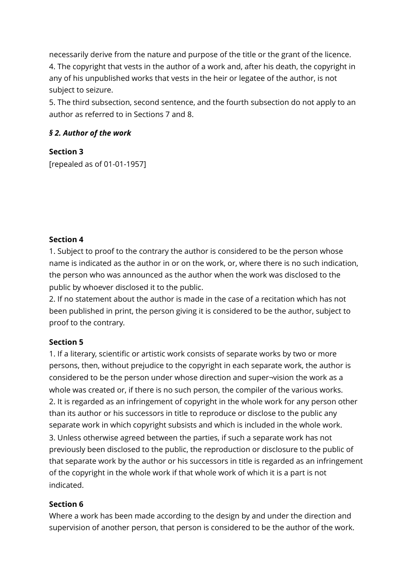necessarily derive from the nature and purpose of the title or the grant of the licence. 4. The copyright that vests in the author of a work and, after his death, the copyright in any of his unpublished works that vests in the heir or legatee of the author, is not subject to seizure.

5. The third subsection, second sentence, and the fourth subsection do not apply to an author as referred to in Sections 7 and 8.

# *§ 2. Author of the work*

# **Section 3**

[repealed as of 01-01-1957]

## **Section 4**

1. Subject to proof to the contrary the author is considered to be the person whose name is indicated as the author in or on the work, or, where there is no such indication, the person who was announced as the author when the work was disclosed to the public by whoever disclosed it to the public.

2. If no statement about the author is made in the case of a recitation which has not been published in print, the person giving it is considered to be the author, subject to proof to the contrary.

## **Section 5**

1. If a literary, scientific or artistic work consists of separate works by two or more persons, then, without prejudice to the copyright in each separate work, the author is considered to be the person under whose direction and super¬vision the work as a whole was created or, if there is no such person, the compiler of the various works. 2. It is regarded as an infringement of copyright in the whole work for any person other than its author or his successors in title to reproduce or disclose to the public any separate work in which copyright subsists and which is included in the whole work. 3. Unless otherwise agreed between the parties, if such a separate work has not previously been disclosed to the public, the reproduction or disclosure to the public of that separate work by the author or his successors in title is regarded as an infringement of the copyright in the whole work if that whole work of which it is a part is not indicated.

## **Section 6**

Where a work has been made according to the design by and under the direction and supervision of another person, that person is considered to be the author of the work.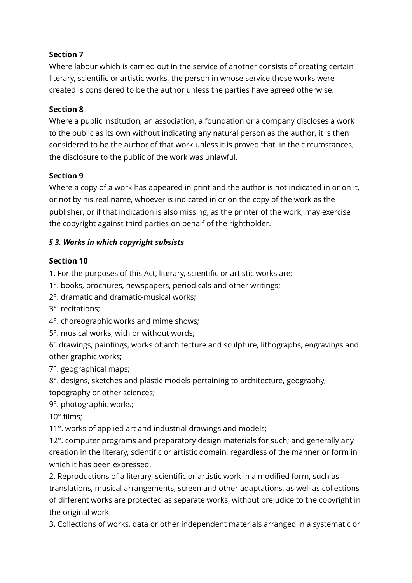# **Section 7**

Where labour which is carried out in the service of another consists of creating certain literary, scientific or artistic works, the person in whose service those works were created is considered to be the author unless the parties have agreed otherwise.

## **Section 8**

Where a public institution, an association, a foundation or a company discloses a work to the public as its own without indicating any natural person as the author, it is then considered to be the author of that work unless it is proved that, in the circumstances, the disclosure to the public of the work was unlawful.

# **Section 9**

Where a copy of a work has appeared in print and the author is not indicated in or on it, or not by his real name, whoever is indicated in or on the copy of the work as the publisher, or if that indication is also missing, as the printer of the work, may exercise the copyright against third parties on behalf of the rightholder.

# *§ 3. Works in which copyright subsists*

# **Section 10**

1. For the purposes of this Act, literary, scientific or artistic works are:

1°. books, brochures, newspapers, periodicals and other writings;

2°. dramatic and dramatic-musical works;

3°. recitations;

4°. choreographic works and mime shows;

5°. musical works, with or without words;

6° drawings, paintings, works of architecture and sculpture, lithographs, engravings and other graphic works;

7°. geographical maps;

8°. designs, sketches and plastic models pertaining to architecture, geography, topography or other sciences;

9°. photographic works;

10°.films;

11°. works of applied art and industrial drawings and models;

12°. computer programs and preparatory design materials for such; and generally any creation in the literary, scientific or artistic domain, regardless of the manner or form in which it has been expressed.

2. Reproductions of a literary, scientific or artistic work in a modified form, such as translations, musical arrangements, screen and other adaptations, as well as collections of different works are protected as separate works, without prejudice to the copyright in the original work.

3. Collections of works, data or other independent materials arranged in a systematic or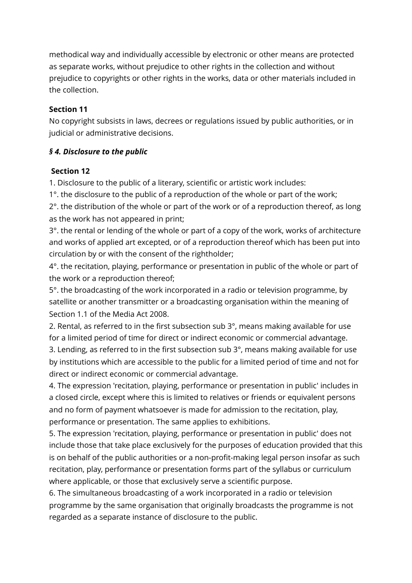methodical way and individually accessible by electronic or other means are protected as separate works, without prejudice to other rights in the collection and without prejudice to copyrights or other rights in the works, data or other materials included in the collection.

## **Section 11**

No copyright subsists in laws, decrees or regulations issued by public authorities, or in judicial or administrative decisions.

# *§ 4. Disclosure to the public*

## **Section 12**

1. Disclosure to the public of a literary, scientific or artistic work includes:

1°. the disclosure to the public of a reproduction of the whole or part of the work;

2°. the distribution of the whole or part of the work or of a reproduction thereof, as long as the work has not appeared in print;

3°. the rental or lending of the whole or part of a copy of the work, works of architecture and works of applied art excepted, or of a reproduction thereof which has been put into circulation by or with the consent of the rightholder;

4°. the recitation, playing, performance or presentation in public of the whole or part of the work or a reproduction thereof;

5°. the broadcasting of the work incorporated in a radio or television programme, by satellite or another transmitter or a broadcasting organisation within the meaning of Section 1.1 of the Media Act 2008.

2. Rental, as referred to in the first subsection sub 3°, means making available for use for a limited period of time for direct or indirect economic or commercial advantage.

3. Lending, as referred to in the first subsection sub 3°, means making available for use by institutions which are accessible to the public for a limited period of time and not for direct or indirect economic or commercial advantage.

4. The expression 'recitation, playing, performance or presentation in public' includes in a closed circle, except where this is limited to relatives or friends or equivalent persons and no form of payment whatsoever is made for admission to the recitation, play, performance or presentation. The same applies to exhibitions.

5. The expression 'recitation, playing, performance or presentation in public' does not include those that take place exclusively for the purposes of education provided that this is on behalf of the public authorities or a non-profit-making legal person insofar as such recitation, play, performance or presentation forms part of the syllabus or curriculum where applicable, or those that exclusively serve a scientific purpose.

6. The simultaneous broadcasting of a work incorporated in a radio or television programme by the same organisation that originally broadcasts the programme is not regarded as a separate instance of disclosure to the public.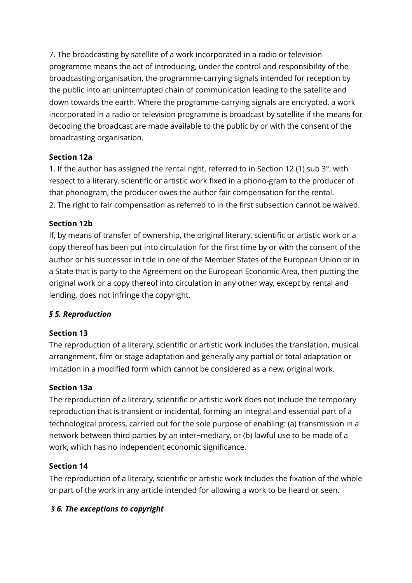7. The broadcasting by satellite of a work incorporated in a radio or television programme means the act of introducing, under the control and responsibility of the broadcasting organisation, the programme-carrying signals intended for reception by the public into an uninterrupted chain of communication leading to the satellite and down towards the earth. Where the programme-carrying signals are encrypted, a work incorporated in a radio or television programme is broadcast by satellite if the means for decoding the broadcast are made available to the public by or with the consent of the broadcasting organisation.

# **Section 12a**

1. If the author has assigned the rental right, referred to in Section 12 (1) sub 3°, with respect to a literary, scientific or artistic work fixed in a phono-gram to the producer of that phonogram, the producer owes the author fair compensation for the rental. 2. The right to fair compensation as referred to in the first subsection cannot be waived.

# **Section 12b**

If, by means of transfer of ownership, the original literary, scientific or artistic work or a copy thereof has been put into circulation for the first time by or with the consent of the author or his successor in title in one of the Member States of the European Union or in a State that is party to the Agreement on the European Economic Area, then putting the original work or a copy thereof into circulation in any other way, except by rental and lending, does not infringe the copyright.

# *§ 5. Reproduction*

## **Section 13**

The reproduction of a literary, scientific or artistic work includes the translation, musical arrangement, film or stage adaptation and generally any partial or total adaptation or imitation in a modified form which cannot be considered as a new, original work.

# **Section 13a**

The reproduction of a literary, scientific or artistic work does not include the temporary reproduction that is transient or incidental, forming an integral and essential part of a technological process, carried out for the sole purpose of enabling: (a) transmission in a network between third parties by an inter¬mediary, or (b) lawful use to be made of a work, which has no independent economic significance.

## **Section 14**

The reproduction of a literary, scientific or artistic work includes the fixation of the whole or part of the work in any article intended for allowing a work to be heard or seen.

# *§ 6. The exceptions to copyright*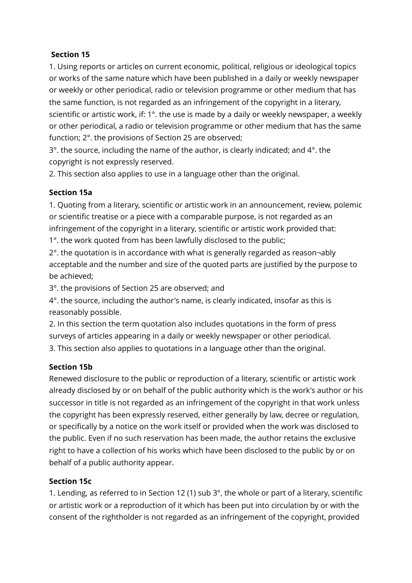# **Section 15**

1. Using reports or articles on current economic, political, religious or ideological topics or works of the same nature which have been published in a daily or weekly newspaper or weekly or other periodical, radio or television programme or other medium that has the same function, is not regarded as an infringement of the copyright in a literary, scientific or artistic work, if: 1°. the use is made by a daily or weekly newspaper, a weekly or other periodical, a radio or television programme or other medium that has the same function; 2°. the provisions of Section 25 are observed;

3°. the source, including the name of the author, is clearly indicated; and 4°. the copyright is not expressly reserved.

2. This section also applies to use in a language other than the original.

# **Section 15a**

1. Quoting from a literary, scientific or artistic work in an announcement, review, polemic or scientific treatise or a piece with a comparable purpose, is not regarded as an infringement of the copyright in a literary, scientific or artistic work provided that: 1°. the work quoted from has been lawfully disclosed to the public;

2°. the quotation is in accordance with what is generally regarded as reason¬ably

acceptable and the number and size of the quoted parts are justified by the purpose to be achieved;

3°. the provisions of Section 25 are observed; and

4°. the source, including the author's name, is clearly indicated, insofar as this is reasonably possible.

2. In this section the term quotation also includes quotations in the form of press surveys of articles appearing in a daily or weekly newspaper or other periodical.

3. This section also applies to quotations in a language other than the original.

## **Section 15b**

Renewed disclosure to the public or reproduction of a literary, scientific or artistic work already disclosed by or on behalf of the public authority which is the work's author or his successor in title is not regarded as an infringement of the copyright in that work unless the copyright has been expressly reserved, either generally by law, decree or regulation, or specifically by a notice on the work itself or provided when the work was disclosed to the public. Even if no such reservation has been made, the author retains the exclusive right to have a collection of his works which have been disclosed to the public by or on behalf of a public authority appear.

## **Section 15c**

1. Lending, as referred to in Section 12 (1) sub 3°, the whole or part of a literary, scientific or artistic work or a reproduction of it which has been put into circulation by or with the consent of the rightholder is not regarded as an infringement of the copyright, provided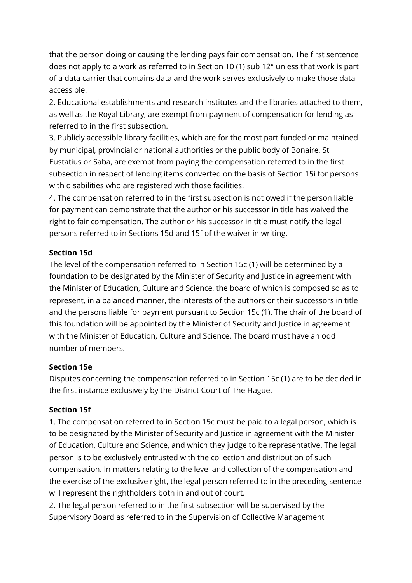that the person doing or causing the lending pays fair compensation. The first sentence does not apply to a work as referred to in Section 10 (1) sub 12° unless that work is part of a data carrier that contains data and the work serves exclusively to make those data accessible.

2. Educational establishments and research institutes and the libraries attached to them, as well as the Royal Library, are exempt from payment of compensation for lending as referred to in the first subsection.

3. Publicly accessible library facilities, which are for the most part funded or maintained by municipal, provincial or national authorities or the public body of Bonaire, St Eustatius or Saba, are exempt from paying the compensation referred to in the first subsection in respect of lending items converted on the basis of Section 15i for persons with disabilities who are registered with those facilities.

4. The compensation referred to in the first subsection is not owed if the person liable for payment can demonstrate that the author or his successor in title has waived the right to fair compensation. The author or his successor in title must notify the legal persons referred to in Sections 15d and 15f of the waiver in writing.

# **Section 15d**

The level of the compensation referred to in Section 15c (1) will be determined by a foundation to be designated by the Minister of Security and Justice in agreement with the Minister of Education, Culture and Science, the board of which is composed so as to represent, in a balanced manner, the interests of the authors or their successors in title and the persons liable for payment pursuant to Section 15c (1). The chair of the board of this foundation will be appointed by the Minister of Security and Justice in agreement with the Minister of Education, Culture and Science. The board must have an odd number of members.

## **Section 15e**

Disputes concerning the compensation referred to in Section 15c (1) are to be decided in the first instance exclusively by the District Court of The Hague.

## **Section 15f**

1. The compensation referred to in Section 15c must be paid to a legal person, which is to be designated by the Minister of Security and Justice in agreement with the Minister of Education, Culture and Science, and which they judge to be representative. The legal person is to be exclusively entrusted with the collection and distribution of such compensation. In matters relating to the level and collection of the compensation and the exercise of the exclusive right, the legal person referred to in the preceding sentence will represent the rightholders both in and out of court.

2. The legal person referred to in the first subsection will be supervised by the Supervisory Board as referred to in the Supervision of Collective Management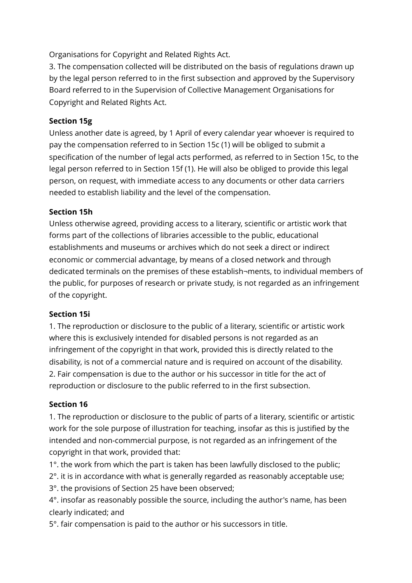Organisations for Copyright and Related Rights Act.

3. The compensation collected will be distributed on the basis of regulations drawn up by the legal person referred to in the first subsection and approved by the Supervisory Board referred to in the Supervision of Collective Management Organisations for Copyright and Related Rights Act.

# **Section 15g**

Unless another date is agreed, by 1 April of every calendar year whoever is required to pay the compensation referred to in Section 15c (1) will be obliged to submit a specification of the number of legal acts performed, as referred to in Section 15c, to the legal person referred to in Section 15f (1). He will also be obliged to provide this legal person, on request, with immediate access to any documents or other data carriers needed to establish liability and the level of the compensation.

# **Section 15h**

Unless otherwise agreed, providing access to a literary, scientific or artistic work that forms part of the collections of libraries accessible to the public, educational establishments and museums or archives which do not seek a direct or indirect economic or commercial advantage, by means of a closed network and through dedicated terminals on the premises of these establish¬ments, to individual members of the public, for purposes of research or private study, is not regarded as an infringement of the copyright.

## **Section 15i**

1. The reproduction or disclosure to the public of a literary, scientific or artistic work where this is exclusively intended for disabled persons is not regarded as an infringement of the copyright in that work, provided this is directly related to the disability, is not of a commercial nature and is required on account of the disability. 2. Fair compensation is due to the author or his successor in title for the act of reproduction or disclosure to the public referred to in the first subsection.

# **Section 16**

1. The reproduction or disclosure to the public of parts of a literary, scientific or artistic work for the sole purpose of illustration for teaching, insofar as this is justified by the intended and non-commercial purpose, is not regarded as an infringement of the copyright in that work, provided that:

1°. the work from which the part is taken has been lawfully disclosed to the public;

2°. it is in accordance with what is generally regarded as reasonably acceptable use;

3°. the provisions of Section 25 have been observed;

4°. insofar as reasonably possible the source, including the author's name, has been clearly indicated; and

5°. fair compensation is paid to the author or his successors in title.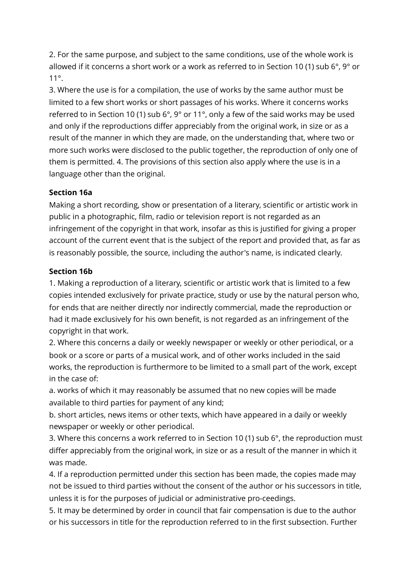2. For the same purpose, and subject to the same conditions, use of the whole work is allowed if it concerns a short work or a work as referred to in Section 10 (1) sub  $6^{\circ}$ ,  $9^{\circ}$  or 11°.

3. Where the use is for a compilation, the use of works by the same author must be limited to a few short works or short passages of his works. Where it concerns works referred to in Section 10 (1) sub 6°, 9° or 11°, only a few of the said works may be used and only if the reproductions differ appreciably from the original work, in size or as a result of the manner in which they are made, on the understanding that, where two or more such works were disclosed to the public together, the reproduction of only one of them is permitted. 4. The provisions of this section also apply where the use is in a language other than the original.

# **Section 16a**

Making a short recording, show or presentation of a literary, scientific or artistic work in public in a photographic, film, radio or television report is not regarded as an infringement of the copyright in that work, insofar as this is justified for giving a proper account of the current event that is the subject of the report and provided that, as far as is reasonably possible, the source, including the author's name, is indicated clearly.

## **Section 16b**

1. Making a reproduction of a literary, scientific or artistic work that is limited to a few copies intended exclusively for private practice, study or use by the natural person who, for ends that are neither directly nor indirectly commercial, made the reproduction or had it made exclusively for his own benefit, is not regarded as an infringement of the copyright in that work.

2. Where this concerns a daily or weekly newspaper or weekly or other periodical, or a book or a score or parts of a musical work, and of other works included in the said works, the reproduction is furthermore to be limited to a small part of the work, except in the case of:

a. works of which it may reasonably be assumed that no new copies will be made available to third parties for payment of any kind;

b. short articles, news items or other texts, which have appeared in a daily or weekly newspaper or weekly or other periodical.

3. Where this concerns a work referred to in Section 10 (1) sub 6°, the reproduction must differ appreciably from the original work, in size or as a result of the manner in which it was made.

4. If a reproduction permitted under this section has been made, the copies made may not be issued to third parties without the consent of the author or his successors in title, unless it is for the purposes of judicial or administrative pro-ceedings.

5. It may be determined by order in council that fair compensation is due to the author or his successors in title for the reproduction referred to in the first subsection. Further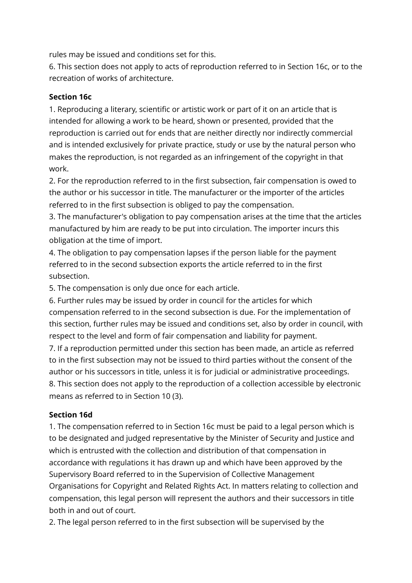rules may be issued and conditions set for this.

6. This section does not apply to acts of reproduction referred to in Section 16c, or to the recreation of works of architecture.

## **Section 16c**

1. Reproducing a literary, scientific or artistic work or part of it on an article that is intended for allowing a work to be heard, shown or presented, provided that the reproduction is carried out for ends that are neither directly nor indirectly commercial and is intended exclusively for private practice, study or use by the natural person who makes the reproduction, is not regarded as an infringement of the copyright in that work.

2. For the reproduction referred to in the first subsection, fair compensation is owed to the author or his successor in title. The manufacturer or the importer of the articles referred to in the first subsection is obliged to pay the compensation.

3. The manufacturer's obligation to pay compensation arises at the time that the articles manufactured by him are ready to be put into circulation. The importer incurs this obligation at the time of import.

4. The obligation to pay compensation lapses if the person liable for the payment referred to in the second subsection exports the article referred to in the first subsection.

5. The compensation is only due once for each article.

6. Further rules may be issued by order in council for the articles for which compensation referred to in the second subsection is due. For the implementation of this section, further rules may be issued and conditions set, also by order in council, with respect to the level and form of fair compensation and liability for payment.

7. If a reproduction permitted under this section has been made, an article as referred to in the first subsection may not be issued to third parties without the consent of the author or his successors in title, unless it is for judicial or administrative proceedings. 8. This section does not apply to the reproduction of a collection accessible by electronic means as referred to in Section 10 (3).

# **Section 16d**

1. The compensation referred to in Section 16c must be paid to a legal person which is to be designated and judged representative by the Minister of Security and Justice and which is entrusted with the collection and distribution of that compensation in accordance with regulations it has drawn up and which have been approved by the Supervisory Board referred to in the Supervision of Collective Management Organisations for Copyright and Related Rights Act. In matters relating to collection and compensation, this legal person will represent the authors and their successors in title both in and out of court.

2. The legal person referred to in the first subsection will be supervised by the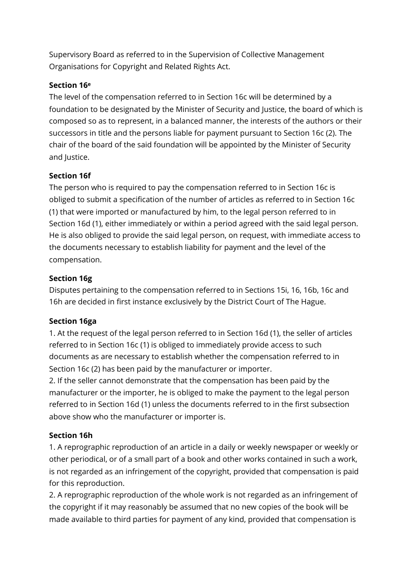Supervisory Board as referred to in the Supervision of Collective Management Organisations for Copyright and Related Rights Act.

# **Section 16e**

The level of the compensation referred to in Section 16c will be determined by a foundation to be designated by the Minister of Security and Justice, the board of which is composed so as to represent, in a balanced manner, the interests of the authors or their successors in title and the persons liable for payment pursuant to Section 16c (2). The chair of the board of the said foundation will be appointed by the Minister of Security and Justice.

# **Section 16f**

The person who is required to pay the compensation referred to in Section 16c is obliged to submit a specification of the number of articles as referred to in Section 16c (1) that were imported or manufactured by him, to the legal person referred to in Section 16d (1), either immediately or within a period agreed with the said legal person. He is also obliged to provide the said legal person, on request, with immediate access to the documents necessary to establish liability for payment and the level of the compensation.

# **Section 16g**

Disputes pertaining to the compensation referred to in Sections 15i, 16, 16b, 16c and 16h are decided in first instance exclusively by the District Court of The Hague.

# **Section 16ga**

1. At the request of the legal person referred to in Section 16d (1), the seller of articles referred to in Section 16c (1) is obliged to immediately provide access to such documents as are necessary to establish whether the compensation referred to in Section 16c (2) has been paid by the manufacturer or importer.

2. If the seller cannot demonstrate that the compensation has been paid by the manufacturer or the importer, he is obliged to make the payment to the legal person referred to in Section 16d (1) unless the documents referred to in the first subsection above show who the manufacturer or importer is.

# **Section 16h**

1. A reprographic reproduction of an article in a daily or weekly newspaper or weekly or other periodical, or of a small part of a book and other works contained in such a work, is not regarded as an infringement of the copyright, provided that compensation is paid for this reproduction.

2. A reprographic reproduction of the whole work is not regarded as an infringement of the copyright if it may reasonably be assumed that no new copies of the book will be made available to third parties for payment of any kind, provided that compensation is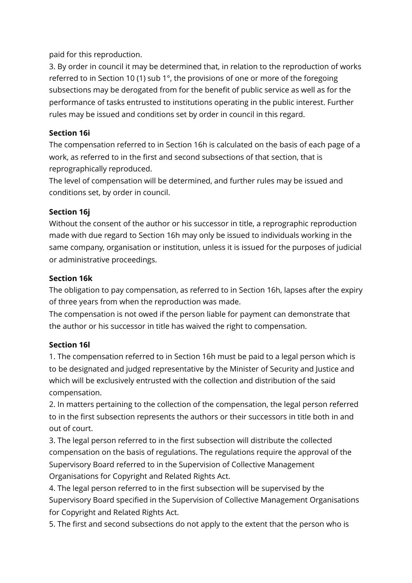paid for this reproduction.

3. By order in council it may be determined that, in relation to the reproduction of works referred to in Section 10 (1) sub 1°, the provisions of one or more of the foregoing subsections may be derogated from for the benefit of public service as well as for the performance of tasks entrusted to institutions operating in the public interest. Further rules may be issued and conditions set by order in council in this regard.

# **Section 16i**

The compensation referred to in Section 16h is calculated on the basis of each page of a work, as referred to in the first and second subsections of that section, that is reprographically reproduced.

The level of compensation will be determined, and further rules may be issued and conditions set, by order in council.

# **Section 16j**

Without the consent of the author or his successor in title, a reprographic reproduction made with due regard to Section 16h may only be issued to individuals working in the same company, organisation or institution, unless it is issued for the purposes of judicial or administrative proceedings.

# **Section 16k**

The obligation to pay compensation, as referred to in Section 16h, lapses after the expiry of three years from when the reproduction was made.

The compensation is not owed if the person liable for payment can demonstrate that the author or his successor in title has waived the right to compensation.

# **Section 16l**

1. The compensation referred to in Section 16h must be paid to a legal person which is to be designated and judged representative by the Minister of Security and Justice and which will be exclusively entrusted with the collection and distribution of the said compensation.

2. In matters pertaining to the collection of the compensation, the legal person referred to in the first subsection represents the authors or their successors in title both in and out of court.

3. The legal person referred to in the first subsection will distribute the collected compensation on the basis of regulations. The regulations require the approval of the Supervisory Board referred to in the Supervision of Collective Management Organisations for Copyright and Related Rights Act.

4. The legal person referred to in the first subsection will be supervised by the Supervisory Board specified in the Supervision of Collective Management Organisations for Copyright and Related Rights Act.

5. The first and second subsections do not apply to the extent that the person who is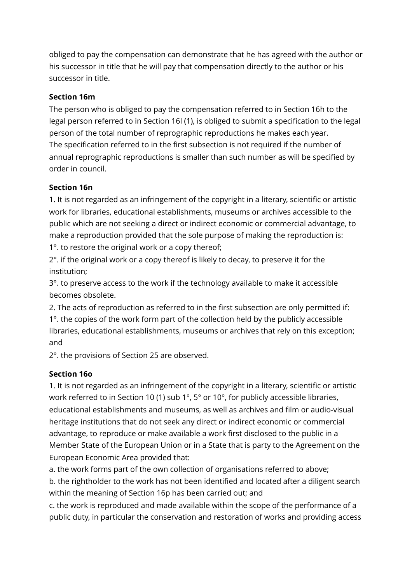obliged to pay the compensation can demonstrate that he has agreed with the author or his successor in title that he will pay that compensation directly to the author or his successor in title.

# **Section 16m**

The person who is obliged to pay the compensation referred to in Section 16h to the legal person referred to in Section 16l (1), is obliged to submit a specification to the legal person of the total number of reprographic reproductions he makes each year. The specification referred to in the first subsection is not required if the number of annual reprographic reproductions is smaller than such number as will be specified by order in council.

# **Section 16n**

1. It is not regarded as an infringement of the copyright in a literary, scientific or artistic work for libraries, educational establishments, museums or archives accessible to the public which are not seeking a direct or indirect economic or commercial advantage, to make a reproduction provided that the sole purpose of making the reproduction is: 1°. to restore the original work or a copy thereof;

2°. if the original work or a copy thereof is likely to decay, to preserve it for the institution;

3°. to preserve access to the work if the technology available to make it accessible becomes obsolete.

2. The acts of reproduction as referred to in the first subsection are only permitted if: 1°. the copies of the work form part of the collection held by the publicly accessible libraries, educational establishments, museums or archives that rely on this exception; and

2°. the provisions of Section 25 are observed.

# **Section 16o**

1. It is not regarded as an infringement of the copyright in a literary, scientific or artistic work referred to in Section 10 (1) sub 1°, 5° or 10°, for publicly accessible libraries, educational establishments and museums, as well as archives and film or audio-visual heritage institutions that do not seek any direct or indirect economic or commercial advantage, to reproduce or make available a work first disclosed to the public in a Member State of the European Union or in a State that is party to the Agreement on the European Economic Area provided that:

a. the work forms part of the own collection of organisations referred to above;

b. the rightholder to the work has not been identified and located after a diligent search within the meaning of Section 16p has been carried out; and

c. the work is reproduced and made available within the scope of the performance of a public duty, in particular the conservation and restoration of works and providing access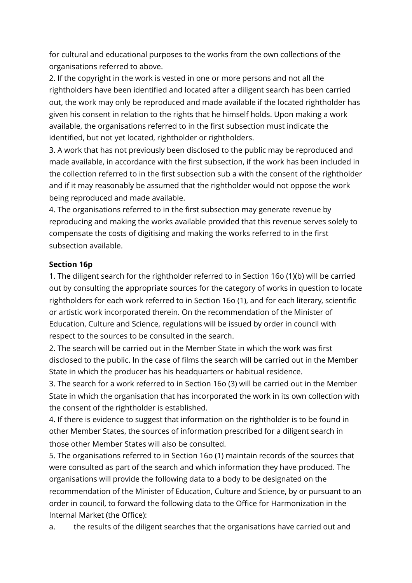for cultural and educational purposes to the works from the own collections of the organisations referred to above.

2. If the copyright in the work is vested in one or more persons and not all the rightholders have been identified and located after a diligent search has been carried out, the work may only be reproduced and made available if the located rightholder has given his consent in relation to the rights that he himself holds. Upon making a work available, the organisations referred to in the first subsection must indicate the identified, but not yet located, rightholder or rightholders.

3. A work that has not previously been disclosed to the public may be reproduced and made available, in accordance with the first subsection, if the work has been included in the collection referred to in the first subsection sub a with the consent of the rightholder and if it may reasonably be assumed that the rightholder would not oppose the work being reproduced and made available.

4. The organisations referred to in the first subsection may generate revenue by reproducing and making the works available provided that this revenue serves solely to compensate the costs of digitising and making the works referred to in the first subsection available.

## **Section 16p**

1. The diligent search for the rightholder referred to in Section 16o (1)(b) will be carried out by consulting the appropriate sources for the category of works in question to locate rightholders for each work referred to in Section 16o (1), and for each literary, scientific or artistic work incorporated therein. On the recommendation of the Minister of Education, Culture and Science, regulations will be issued by order in council with respect to the sources to be consulted in the search.

2. The search will be carried out in the Member State in which the work was first disclosed to the public. In the case of films the search will be carried out in the Member State in which the producer has his headquarters or habitual residence.

3. The search for a work referred to in Section 16o (3) will be carried out in the Member State in which the organisation that has incorporated the work in its own collection with the consent of the rightholder is established.

4. If there is evidence to suggest that information on the rightholder is to be found in other Member States, the sources of information prescribed for a diligent search in those other Member States will also be consulted.

5. The organisations referred to in Section 16o (1) maintain records of the sources that were consulted as part of the search and which information they have produced. The organisations will provide the following data to a body to be designated on the recommendation of the Minister of Education, Culture and Science, by or pursuant to an order in council, to forward the following data to the Office for Harmonization in the Internal Market (the Office):

a. the results of the diligent searches that the organisations have carried out and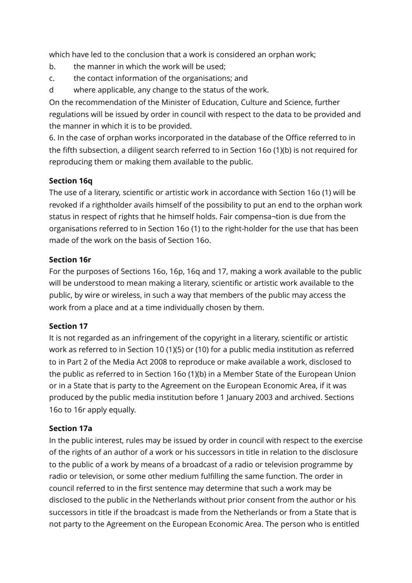which have led to the conclusion that a work is considered an orphan work;

- b. the manner in which the work will be used;
- c. the contact information of the organisations; and
- d where applicable, any change to the status of the work.

On the recommendation of the Minister of Education, Culture and Science, further regulations will be issued by order in council with respect to the data to be provided and the manner in which it is to be provided.

6. In the case of orphan works incorporated in the database of the Office referred to in the fifth subsection, a diligent search referred to in Section 16o (1)(b) is not required for reproducing them or making them available to the public.

# **Section 16q**

The use of a literary, scientific or artistic work in accordance with Section 16o (1) will be revoked if a rightholder avails himself of the possibility to put an end to the orphan work status in respect of rights that he himself holds. Fair compensa¬tion is due from the organisations referred to in Section 16o (1) to the right-holder for the use that has been made of the work on the basis of Section 16o.

# **Section 16r**

For the purposes of Sections 16o, 16p, 16q and 17, making a work available to the public will be understood to mean making a literary, scientific or artistic work available to the public, by wire or wireless, in such a way that members of the public may access the work from a place and at a time individually chosen by them.

# **Section 17**

It is not regarded as an infringement of the copyright in a literary, scientific or artistic work as referred to in Section 10 (1)(5) or (10) for a public media institution as referred to in Part 2 of the Media Act 2008 to reproduce or make available a work, disclosed to the public as referred to in Section 16o (1)(b) in a Member State of the European Union or in a State that is party to the Agreement on the European Economic Area, if it was produced by the public media institution before 1 January 2003 and archived. Sections 16o to 16r apply equally.

## **Section 17a**

In the public interest, rules may be issued by order in council with respect to the exercise of the rights of an author of a work or his successors in title in relation to the disclosure to the public of a work by means of a broadcast of a radio or television programme by radio or television, or some other medium fulfilling the same function. The order in council referred to in the first sentence may determine that such a work may be disclosed to the public in the Netherlands without prior consent from the author or his successors in title if the broadcast is made from the Netherlands or from a State that is not party to the Agreement on the European Economic Area. The person who is entitled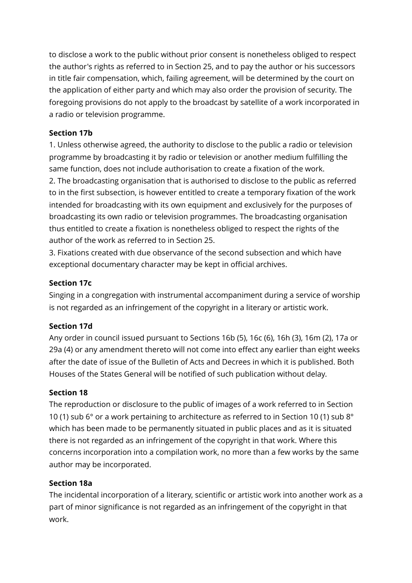to disclose a work to the public without prior consent is nonetheless obliged to respect the author's rights as referred to in Section 25, and to pay the author or his successors in title fair compensation, which, failing agreement, will be determined by the court on the application of either party and which may also order the provision of security. The foregoing provisions do not apply to the broadcast by satellite of a work incorporated in a radio or television programme.

# **Section 17b**

1. Unless otherwise agreed, the authority to disclose to the public a radio or television programme by broadcasting it by radio or television or another medium fulfilling the same function, does not include authorisation to create a fixation of the work. 2. The broadcasting organisation that is authorised to disclose to the public as referred to in the first subsection, is however entitled to create a temporary fixation of the work intended for broadcasting with its own equipment and exclusively for the purposes of broadcasting its own radio or television programmes. The broadcasting organisation thus entitled to create a fixation is nonetheless obliged to respect the rights of the author of the work as referred to in Section 25.

3. Fixations created with due observance of the second subsection and which have exceptional documentary character may be kept in official archives.

# **Section 17c**

Singing in a congregation with instrumental accompaniment during a service of worship is not regarded as an infringement of the copyright in a literary or artistic work.

# **Section 17d**

Any order in council issued pursuant to Sections 16b (5), 16c (6), 16h (3), 16m (2), 17a or 29a (4) or any amendment thereto will not come into effect any earlier than eight weeks after the date of issue of the Bulletin of Acts and Decrees in which it is published. Both Houses of the States General will be notified of such publication without delay.

## **Section 18**

The reproduction or disclosure to the public of images of a work referred to in Section 10 (1) sub 6° or a work pertaining to architecture as referred to in Section 10 (1) sub 8° which has been made to be permanently situated in public places and as it is situated there is not regarded as an infringement of the copyright in that work. Where this concerns incorporation into a compilation work, no more than a few works by the same author may be incorporated.

## **Section 18a**

The incidental incorporation of a literary, scientific or artistic work into another work as a part of minor significance is not regarded as an infringement of the copyright in that work.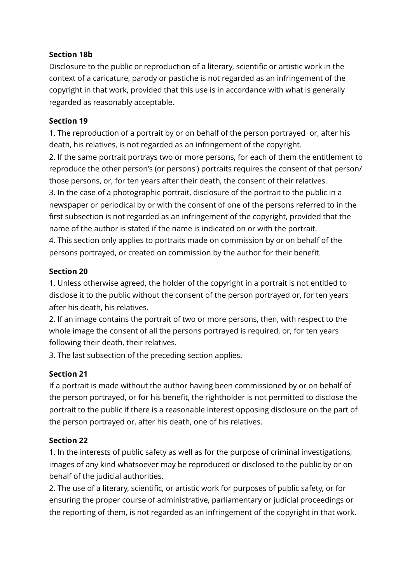## **Section 18b**

Disclosure to the public or reproduction of a literary, scientific or artistic work in the context of a caricature, parody or pastiche is not regarded as an infringement of the copyright in that work, provided that this use is in accordance with what is generally regarded as reasonably acceptable.

#### **Section 19**

1. The reproduction of a portrait by or on behalf of the person portrayed or, after his death, his relatives, is not regarded as an infringement of the copyright. 2. If the same portrait portrays two or more persons, for each of them the entitlement to reproduce the other person's (or persons') portraits requires the consent of that person/ those persons, or, for ten years after their death, the consent of their relatives. 3. In the case of a photographic portrait, disclosure of the portrait to the public in a newspaper or periodical by or with the consent of one of the persons referred to in the first subsection is not regarded as an infringement of the copyright, provided that the name of the author is stated if the name is indicated on or with the portrait. 4. This section only applies to portraits made on commission by or on behalf of the persons portrayed, or created on commission by the author for their benefit.

## **Section 20**

1. Unless otherwise agreed, the holder of the copyright in a portrait is not entitled to disclose it to the public without the consent of the person portrayed or, for ten years after his death, his relatives.

2. If an image contains the portrait of two or more persons, then, with respect to the whole image the consent of all the persons portrayed is required, or, for ten years following their death, their relatives.

3. The last subsection of the preceding section applies.

## **Section 21**

If a portrait is made without the author having been commissioned by or on behalf of the person portrayed, or for his benefit, the rightholder is not permitted to disclose the portrait to the public if there is a reasonable interest opposing disclosure on the part of the person portrayed or, after his death, one of his relatives.

## **Section 22**

1. In the interests of public safety as well as for the purpose of criminal investigations, images of any kind whatsoever may be reproduced or disclosed to the public by or on behalf of the judicial authorities.

2. The use of a literary, scientific, or artistic work for purposes of public safety, or for ensuring the proper course of administrative, parliamentary or judicial proceedings or the reporting of them, is not regarded as an infringement of the copyright in that work.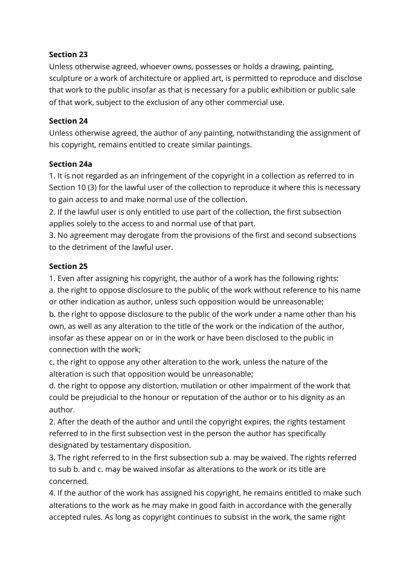## **Section 23**

Unless otherwise agreed, whoever owns, possesses or holds a drawing, painting, sculpture or a work of architecture or applied art, is permitted to reproduce and disclose that work to the public insofar as that is necessary for a public exhibition or public sale of that work, subject to the exclusion of any other commercial use.

#### **Section 24**

Unless otherwise agreed, the author of any painting, notwithstanding the assignment of his copyright, remains entitled to create similar paintings.

#### **Section 24a**

1. It is not regarded as an infringement of the copyright in a collection as referred to in Section 10 (3) for the lawful user of the collection to reproduce it where this is necessary to gain access to and make normal use of the collection.

2. If the lawful user is only entitled to use part of the collection, the first subsection applies solely to the access to and normal use of that part.

3. No agreement may derogate from the provisions of the first and second subsections to the detriment of the lawful user.

## **Section 25**

1. Even after assigning his copyright, the author of a work has the following rights:

a. the right to oppose disclosure to the public of the work without reference to his name or other indication as author, unless such opposition would be unreasonable;

b. the right to oppose disclosure to the public of the work under a name other than his own, as well as any alteration to the title of the work or the indication of the author, insofar as these appear on or in the work or have been disclosed to the public in connection with the work;

c. the right to oppose any other alteration to the work, unless the nature of the alteration is such that opposition would be unreasonable;

d. the right to oppose any distortion, mutilation or other impairment of the work that could be prejudicial to the honour or reputation of the author or to his dignity as an author.

2. After the death of the author and until the copyright expires, the rights testament referred to in the first subsection vest in the person the author has specifically designated by testamentary disposition.

3. The right referred to in the first subsection sub a. may be waived. The rights referred to sub b. and c. may be waived insofar as alterations to the work or its title are concerned.

4. If the author of the work has assigned his copyright, he remains entitled to make such alterations to the work as he may make in good faith in accordance with the generally accepted rules. As long as copyright continues to subsist in the work, the same right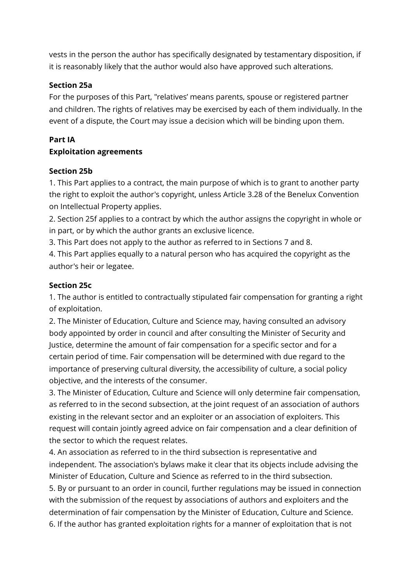vests in the person the author has specifically designated by testamentary disposition, if it is reasonably likely that the author would also have approved such alterations.

#### **Section 25a**

For the purposes of this Part, "relatives' means parents, spouse or registered partner and children. The rights of relatives may be exercised by each of them individually. In the event of a dispute, the Court may issue a decision which will be binding upon them.

# **Part IA**

## **Exploitation agreements**

#### **Section 25b**

1. This Part applies to a contract, the main purpose of which is to grant to another party the right to exploit the author's copyright, unless Article 3.28 of the Benelux Convention on Intellectual Property applies.

2. Section 25f applies to a contract by which the author assigns the copyright in whole or in part, or by which the author grants an exclusive licence.

3. This Part does not apply to the author as referred to in Sections 7 and 8.

4. This Part applies equally to a natural person who has acquired the copyright as the author's heir or legatee.

#### **Section 25c**

1. The author is entitled to contractually stipulated fair compensation for granting a right of exploitation.

2. The Minister of Education, Culture and Science may, having consulted an advisory body appointed by order in council and after consulting the Minister of Security and Justice, determine the amount of fair compensation for a specific sector and for a certain period of time. Fair compensation will be determined with due regard to the importance of preserving cultural diversity, the accessibility of culture, a social policy objective, and the interests of the consumer.

3. The Minister of Education, Culture and Science will only determine fair compensation, as referred to in the second subsection, at the joint request of an association of authors existing in the relevant sector and an exploiter or an association of exploiters. This request will contain jointly agreed advice on fair compensation and a clear definition of the sector to which the request relates.

4. An association as referred to in the third subsection is representative and independent. The association's bylaws make it clear that its objects include advising the Minister of Education, Culture and Science as referred to in the third subsection.

5. By or pursuant to an order in council, further regulations may be issued in connection with the submission of the request by associations of authors and exploiters and the determination of fair compensation by the Minister of Education, Culture and Science. 6. If the author has granted exploitation rights for a manner of exploitation that is not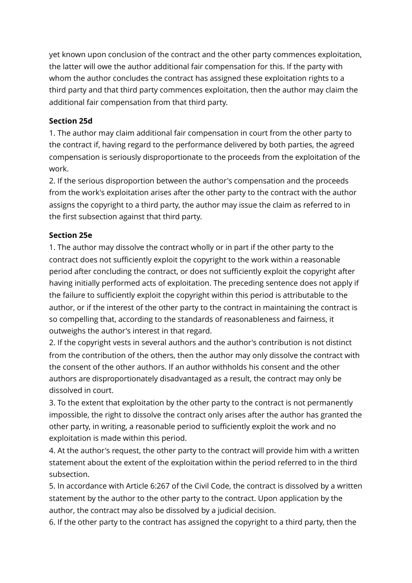yet known upon conclusion of the contract and the other party commences exploitation, the latter will owe the author additional fair compensation for this. If the party with whom the author concludes the contract has assigned these exploitation rights to a third party and that third party commences exploitation, then the author may claim the additional fair compensation from that third party.

# **Section 25d**

1. The author may claim additional fair compensation in court from the other party to the contract if, having regard to the performance delivered by both parties, the agreed compensation is seriously disproportionate to the proceeds from the exploitation of the work.

2. If the serious disproportion between the author's compensation and the proceeds from the work's exploitation arises after the other party to the contract with the author assigns the copyright to a third party, the author may issue the claim as referred to in the first subsection against that third party.

# **Section 25e**

1. The author may dissolve the contract wholly or in part if the other party to the contract does not sufficiently exploit the copyright to the work within a reasonable period after concluding the contract, or does not sufficiently exploit the copyright after having initially performed acts of exploitation. The preceding sentence does not apply if the failure to sufficiently exploit the copyright within this period is attributable to the author, or if the interest of the other party to the contract in maintaining the contract is so compelling that, according to the standards of reasonableness and fairness, it outweighs the author's interest in that regard.

2. If the copyright vests in several authors and the author's contribution is not distinct from the contribution of the others, then the author may only dissolve the contract with the consent of the other authors. If an author withholds his consent and the other authors are disproportionately disadvantaged as a result, the contract may only be dissolved in court.

3. To the extent that exploitation by the other party to the contract is not permanently impossible, the right to dissolve the contract only arises after the author has granted the other party, in writing, a reasonable period to sufficiently exploit the work and no exploitation is made within this period.

4. At the author's request, the other party to the contract will provide him with a written statement about the extent of the exploitation within the period referred to in the third subsection.

5. In accordance with Article 6:267 of the Civil Code, the contract is dissolved by a written statement by the author to the other party to the contract. Upon application by the author, the contract may also be dissolved by a judicial decision.

6. If the other party to the contract has assigned the copyright to a third party, then the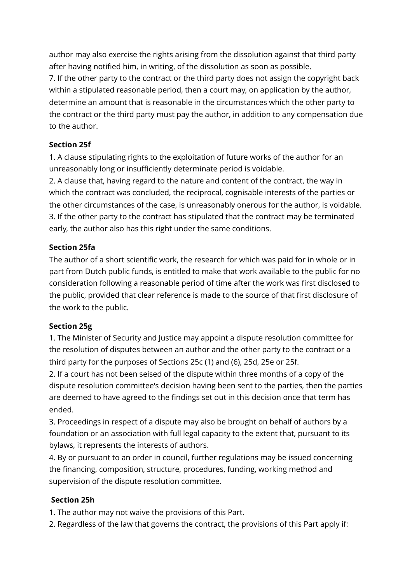author may also exercise the rights arising from the dissolution against that third party after having notified him, in writing, of the dissolution as soon as possible.

7. If the other party to the contract or the third party does not assign the copyright back within a stipulated reasonable period, then a court may, on application by the author, determine an amount that is reasonable in the circumstances which the other party to the contract or the third party must pay the author, in addition to any compensation due to the author.

# **Section 25f**

1. A clause stipulating rights to the exploitation of future works of the author for an unreasonably long or insufficiently determinate period is voidable.

2. A clause that, having regard to the nature and content of the contract, the way in which the contract was concluded, the reciprocal, cognisable interests of the parties or the other circumstances of the case, is unreasonably onerous for the author, is voidable. 3. If the other party to the contract has stipulated that the contract may be terminated early, the author also has this right under the same conditions.

# **Section 25fa**

The author of a short scientific work, the research for which was paid for in whole or in part from Dutch public funds, is entitled to make that work available to the public for no consideration following a reasonable period of time after the work was first disclosed to the public, provided that clear reference is made to the source of that first disclosure of the work to the public.

## **Section 25g**

1. The Minister of Security and Justice may appoint a dispute resolution committee for the resolution of disputes between an author and the other party to the contract or a third party for the purposes of Sections 25c (1) and (6), 25d, 25e or 25f.

2. If a court has not been seised of the dispute within three months of a copy of the dispute resolution committee's decision having been sent to the parties, then the parties are deemed to have agreed to the findings set out in this decision once that term has ended.

3. Proceedings in respect of a dispute may also be brought on behalf of authors by a foundation or an association with full legal capacity to the extent that, pursuant to its bylaws, it represents the interests of authors.

4. By or pursuant to an order in council, further regulations may be issued concerning the financing, composition, structure, procedures, funding, working method and supervision of the dispute resolution committee.

## **Section 25h**

1. The author may not waive the provisions of this Part.

2. Regardless of the law that governs the contract, the provisions of this Part apply if: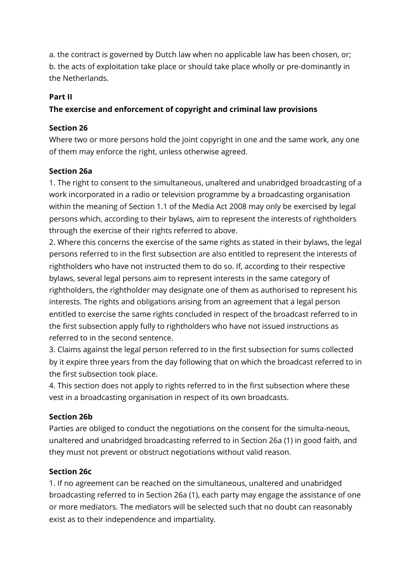a. the contract is governed by Dutch law when no applicable law has been chosen, or; b. the acts of exploitation take place or should take place wholly or pre-dominantly in the Netherlands.

## **Part II**

# **The exercise and enforcement of copyright and criminal law provisions**

## **Section 26**

Where two or more persons hold the joint copyright in one and the same work, any one of them may enforce the right, unless otherwise agreed.

#### **Section 26a**

1. The right to consent to the simultaneous, unaltered and unabridged broadcasting of a work incorporated in a radio or television programme by a broadcasting organisation within the meaning of Section 1.1 of the Media Act 2008 may only be exercised by legal persons which, according to their bylaws, aim to represent the interests of rightholders through the exercise of their rights referred to above.

2. Where this concerns the exercise of the same rights as stated in their bylaws, the legal persons referred to in the first subsection are also entitled to represent the interests of rightholders who have not instructed them to do so. If, according to their respective bylaws, several legal persons aim to represent interests in the same category of rightholders, the rightholder may designate one of them as authorised to represent his interests. The rights and obligations arising from an agreement that a legal person entitled to exercise the same rights concluded in respect of the broadcast referred to in the first subsection apply fully to rightholders who have not issued instructions as referred to in the second sentence.

3. Claims against the legal person referred to in the first subsection for sums collected by it expire three years from the day following that on which the broadcast referred to in the first subsection took place.

4. This section does not apply to rights referred to in the first subsection where these vest in a broadcasting organisation in respect of its own broadcasts.

## **Section 26b**

Parties are obliged to conduct the negotiations on the consent for the simulta-neous, unaltered and unabridged broadcasting referred to in Section 26a (1) in good faith, and they must not prevent or obstruct negotiations without valid reason.

## **Section 26c**

1. If no agreement can be reached on the simultaneous, unaltered and unabridged broadcasting referred to in Section 26a (1), each party may engage the assistance of one or more mediators. The mediators will be selected such that no doubt can reasonably exist as to their independence and impartiality.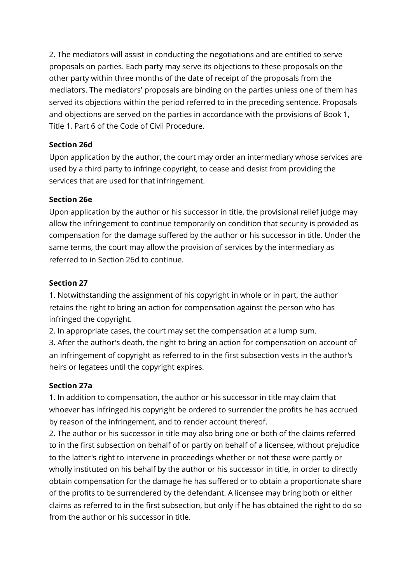2. The mediators will assist in conducting the negotiations and are entitled to serve proposals on parties. Each party may serve its objections to these proposals on the other party within three months of the date of receipt of the proposals from the mediators. The mediators' proposals are binding on the parties unless one of them has served its objections within the period referred to in the preceding sentence. Proposals and objections are served on the parties in accordance with the provisions of Book 1, Title 1, Part 6 of the Code of Civil Procedure.

# **Section 26d**

Upon application by the author, the court may order an intermediary whose services are used by a third party to infringe copyright, to cease and desist from providing the services that are used for that infringement.

# **Section 26e**

Upon application by the author or his successor in title, the provisional relief judge may allow the infringement to continue temporarily on condition that security is provided as compensation for the damage suffered by the author or his successor in title. Under the same terms, the court may allow the provision of services by the intermediary as referred to in Section 26d to continue.

# **Section 27**

1. Notwithstanding the assignment of his copyright in whole or in part, the author retains the right to bring an action for compensation against the person who has infringed the copyright.

2. In appropriate cases, the court may set the compensation at a lump sum.

3. After the author's death, the right to bring an action for compensation on account of an infringement of copyright as referred to in the first subsection vests in the author's heirs or legatees until the copyright expires.

# **Section 27a**

1. In addition to compensation, the author or his successor in title may claim that whoever has infringed his copyright be ordered to surrender the profits he has accrued by reason of the infringement, and to render account thereof.

2. The author or his successor in title may also bring one or both of the claims referred to in the first subsection on behalf of or partly on behalf of a licensee, without prejudice to the latter's right to intervene in proceedings whether or not these were partly or wholly instituted on his behalf by the author or his successor in title, in order to directly obtain compensation for the damage he has suffered or to obtain a proportionate share of the profits to be surrendered by the defendant. A licensee may bring both or either claims as referred to in the first subsection, but only if he has obtained the right to do so from the author or his successor in title.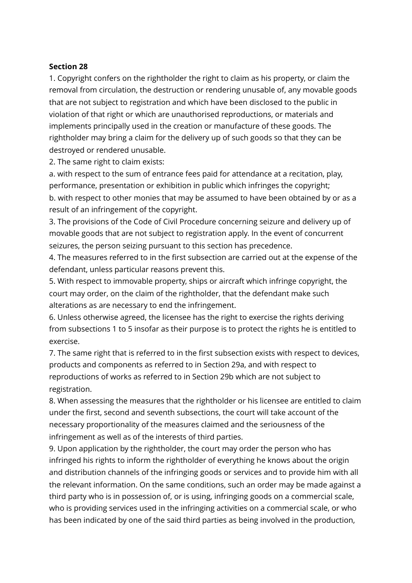#### **Section 28**

1. Copyright confers on the rightholder the right to claim as his property, or claim the removal from circulation, the destruction or rendering unusable of, any movable goods that are not subject to registration and which have been disclosed to the public in violation of that right or which are unauthorised reproductions, or materials and implements principally used in the creation or manufacture of these goods. The rightholder may bring a claim for the delivery up of such goods so that they can be destroyed or rendered unusable.

2. The same right to claim exists:

a. with respect to the sum of entrance fees paid for attendance at a recitation, play, performance, presentation or exhibition in public which infringes the copyright; b. with respect to other monies that may be assumed to have been obtained by or as a result of an infringement of the copyright.

3. The provisions of the Code of Civil Procedure concerning seizure and delivery up of movable goods that are not subject to registration apply. In the event of concurrent seizures, the person seizing pursuant to this section has precedence.

4. The measures referred to in the first subsection are carried out at the expense of the defendant, unless particular reasons prevent this.

5. With respect to immovable property, ships or aircraft which infringe copyright, the court may order, on the claim of the rightholder, that the defendant make such alterations as are necessary to end the infringement.

6. Unless otherwise agreed, the licensee has the right to exercise the rights deriving from subsections 1 to 5 insofar as their purpose is to protect the rights he is entitled to exercise.

7. The same right that is referred to in the first subsection exists with respect to devices, products and components as referred to in Section 29a, and with respect to reproductions of works as referred to in Section 29b which are not subject to registration.

8. When assessing the measures that the rightholder or his licensee are entitled to claim under the first, second and seventh subsections, the court will take account of the necessary proportionality of the measures claimed and the seriousness of the infringement as well as of the interests of third parties.

9. Upon application by the rightholder, the court may order the person who has infringed his rights to inform the rightholder of everything he knows about the origin and distribution channels of the infringing goods or services and to provide him with all the relevant information. On the same conditions, such an order may be made against a third party who is in possession of, or is using, infringing goods on a commercial scale, who is providing services used in the infringing activities on a commercial scale, or who has been indicated by one of the said third parties as being involved in the production,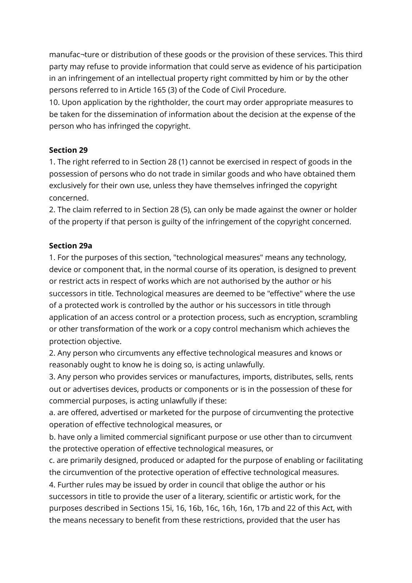manufac¬ture or distribution of these goods or the provision of these services. This third party may refuse to provide information that could serve as evidence of his participation in an infringement of an intellectual property right committed by him or by the other persons referred to in Article 165 (3) of the Code of Civil Procedure.

10. Upon application by the rightholder, the court may order appropriate measures to be taken for the dissemination of information about the decision at the expense of the person who has infringed the copyright.

# **Section 29**

1. The right referred to in Section 28 (1) cannot be exercised in respect of goods in the possession of persons who do not trade in similar goods and who have obtained them exclusively for their own use, unless they have themselves infringed the copyright concerned.

2. The claim referred to in Section 28 (5), can only be made against the owner or holder of the property if that person is guilty of the infringement of the copyright concerned.

## **Section 29a**

1. For the purposes of this section, "technological measures" means any technology, device or component that, in the normal course of its operation, is designed to prevent or restrict acts in respect of works which are not authorised by the author or his successors in title. Technological measures are deemed to be "effective" where the use of a protected work is controlled by the author or his successors in title through application of an access control or a protection process, such as encryption, scrambling or other transformation of the work or a copy control mechanism which achieves the protection objective.

2. Any person who circumvents any effective technological measures and knows or reasonably ought to know he is doing so, is acting unlawfully.

3. Any person who provides services or manufactures, imports, distributes, sells, rents out or advertises devices, products or components or is in the possession of these for commercial purposes, is acting unlawfully if these:

a. are offered, advertised or marketed for the purpose of circumventing the protective operation of effective technological measures, or

b. have only a limited commercial significant purpose or use other than to circumvent the protective operation of effective technological measures, or

c. are primarily designed, produced or adapted for the purpose of enabling or facilitating the circumvention of the protective operation of effective technological measures.

4. Further rules may be issued by order in council that oblige the author or his successors in title to provide the user of a literary, scientific or artistic work, for the purposes described in Sections 15i, 16, 16b, 16c, 16h, 16n, 17b and 22 of this Act, with the means necessary to benefit from these restrictions, provided that the user has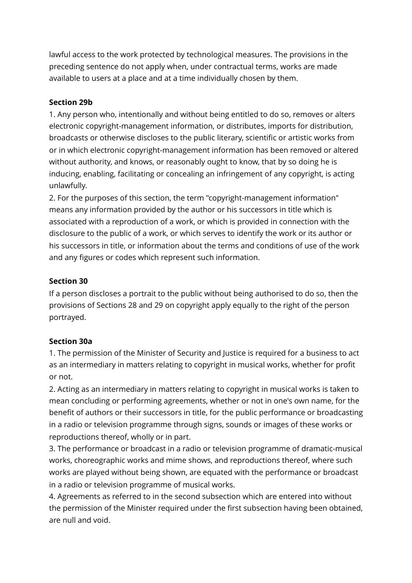lawful access to the work protected by technological measures. The provisions in the preceding sentence do not apply when, under contractual terms, works are made available to users at a place and at a time individually chosen by them.

## **Section 29b**

1. Any person who, intentionally and without being entitled to do so, removes or alters electronic copyright-management information, or distributes, imports for distribution, broadcasts or otherwise discloses to the public literary, scientific or artistic works from or in which electronic copyright-management information has been removed or altered without authority, and knows, or reasonably ought to know, that by so doing he is inducing, enabling, facilitating or concealing an infringement of any copyright, is acting unlawfully.

2. For the purposes of this section, the term "copyright-management information" means any information provided by the author or his successors in title which is associated with a reproduction of a work, or which is provided in connection with the disclosure to the public of a work, or which serves to identify the work or its author or his successors in title, or information about the terms and conditions of use of the work and any figures or codes which represent such information.

#### **Section 30**

If a person discloses a portrait to the public without being authorised to do so, then the provisions of Sections 28 and 29 on copyright apply equally to the right of the person portrayed.

#### **Section 30a**

1. The permission of the Minister of Security and Justice is required for a business to act as an intermediary in matters relating to copyright in musical works, whether for profit or not.

2. Acting as an intermediary in matters relating to copyright in musical works is taken to mean concluding or performing agreements, whether or not in one's own name, for the benefit of authors or their successors in title, for the public performance or broadcasting in a radio or television programme through signs, sounds or images of these works or reproductions thereof, wholly or in part.

3. The performance or broadcast in a radio or television programme of dramatic-musical works, choreographic works and mime shows, and reproductions thereof, where such works are played without being shown, are equated with the performance or broadcast in a radio or television programme of musical works.

4. Agreements as referred to in the second subsection which are entered into without the permission of the Minister required under the first subsection having been obtained, are null and void.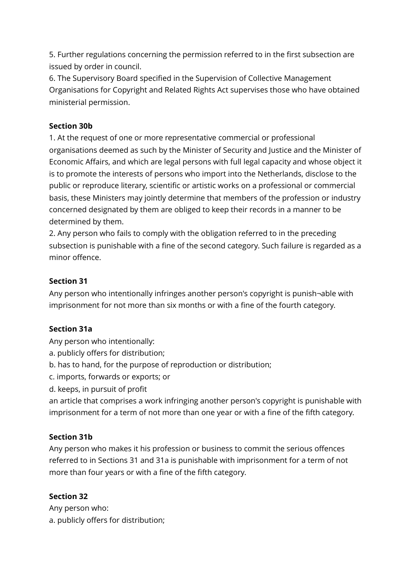5. Further regulations concerning the permission referred to in the first subsection are issued by order in council.

6. The Supervisory Board specified in the Supervision of Collective Management Organisations for Copyright and Related Rights Act supervises those who have obtained ministerial permission.

# **Section 30b**

1. At the request of one or more representative commercial or professional organisations deemed as such by the Minister of Security and Justice and the Minister of Economic Affairs, and which are legal persons with full legal capacity and whose object it is to promote the interests of persons who import into the Netherlands, disclose to the public or reproduce literary, scientific or artistic works on a professional or commercial basis, these Ministers may jointly determine that members of the profession or industry concerned designated by them are obliged to keep their records in a manner to be determined by them.

2. Any person who fails to comply with the obligation referred to in the preceding subsection is punishable with a fine of the second category. Such failure is regarded as a minor offence.

# **Section 31**

Any person who intentionally infringes another person's copyright is punish¬able with imprisonment for not more than six months or with a fine of the fourth category.

## **Section 31a**

Any person who intentionally:

- a. publicly offers for distribution;
- b. has to hand, for the purpose of reproduction or distribution;
- c. imports, forwards or exports; or
- d. keeps, in pursuit of profit

an article that comprises a work infringing another person's copyright is punishable with imprisonment for a term of not more than one year or with a fine of the fifth category.

## **Section 31b**

Any person who makes it his profession or business to commit the serious offences referred to in Sections 31 and 31a is punishable with imprisonment for a term of not more than four years or with a fine of the fifth category.

# **Section 32**

Any person who: a. publicly offers for distribution;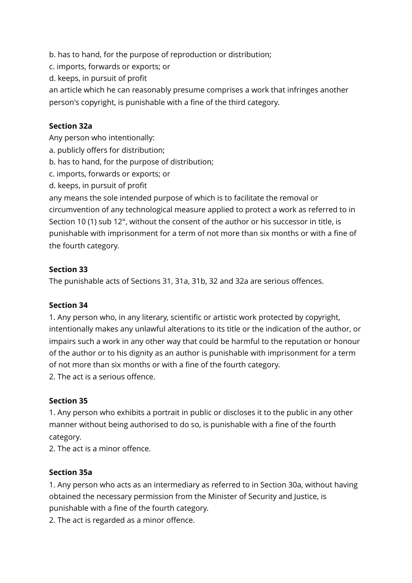b. has to hand, for the purpose of reproduction or distribution;

c. imports, forwards or exports; or

d. keeps, in pursuit of profit

an article which he can reasonably presume comprises a work that infringes another person's copyright, is punishable with a fine of the third category.

# **Section 32a**

Any person who intentionally:

- a. publicly offers for distribution;
- b. has to hand, for the purpose of distribution;
- c. imports, forwards or exports; or
- d. keeps, in pursuit of profit

any means the sole intended purpose of which is to facilitate the removal or circumvention of any technological measure applied to protect a work as referred to in Section 10 (1) sub 12°, without the consent of the author or his successor in title, is punishable with imprisonment for a term of not more than six months or with a fine of the fourth category.

## **Section 33**

The punishable acts of Sections 31, 31a, 31b, 32 and 32a are serious offences.

## **Section 34**

1. Any person who, in any literary, scientific or artistic work protected by copyright, intentionally makes any unlawful alterations to its title or the indication of the author, or impairs such a work in any other way that could be harmful to the reputation or honour of the author or to his dignity as an author is punishable with imprisonment for a term of not more than six months or with a fine of the fourth category.

2. The act is a serious offence.

## **Section 35**

1. Any person who exhibits a portrait in public or discloses it to the public in any other manner without being authorised to do so, is punishable with a fine of the fourth category.

2. The act is a minor offence.

## **Section 35a**

1. Any person who acts as an intermediary as referred to in Section 30a, without having obtained the necessary permission from the Minister of Security and Justice, is punishable with a fine of the fourth category.

2. The act is regarded as a minor offence.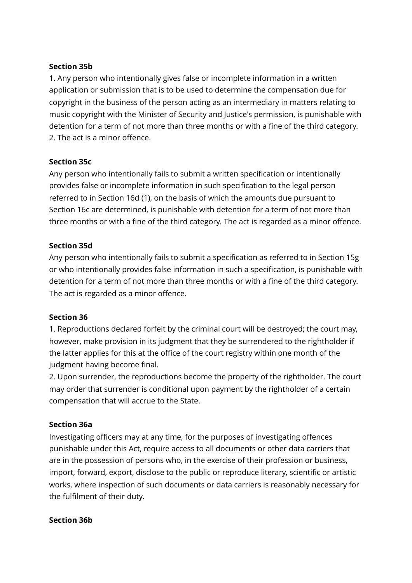#### **Section 35b**

1. Any person who intentionally gives false or incomplete information in a written application or submission that is to be used to determine the compensation due for copyright in the business of the person acting as an intermediary in matters relating to music copyright with the Minister of Security and Justice's permission, is punishable with detention for a term of not more than three months or with a fine of the third category. 2. The act is a minor offence.

#### **Section 35c**

Any person who intentionally fails to submit a written specification or intentionally provides false or incomplete information in such specification to the legal person referred to in Section 16d (1), on the basis of which the amounts due pursuant to Section 16c are determined, is punishable with detention for a term of not more than three months or with a fine of the third category. The act is regarded as a minor offence.

#### **Section 35d**

Any person who intentionally fails to submit a specification as referred to in Section 15g or who intentionally provides false information in such a specification, is punishable with detention for a term of not more than three months or with a fine of the third category. The act is regarded as a minor offence.

#### **Section 36**

1. Reproductions declared forfeit by the criminal court will be destroyed; the court may, however, make provision in its judgment that they be surrendered to the rightholder if the latter applies for this at the office of the court registry within one month of the judgment having become final.

2. Upon surrender, the reproductions become the property of the rightholder. The court may order that surrender is conditional upon payment by the rightholder of a certain compensation that will accrue to the State.

## **Section 36a**

Investigating officers may at any time, for the purposes of investigating offences punishable under this Act, require access to all documents or other data carriers that are in the possession of persons who, in the exercise of their profession or business, import, forward, export, disclose to the public or reproduce literary, scientific or artistic works, where inspection of such documents or data carriers is reasonably necessary for the fulfilment of their duty.

#### **Section 36b**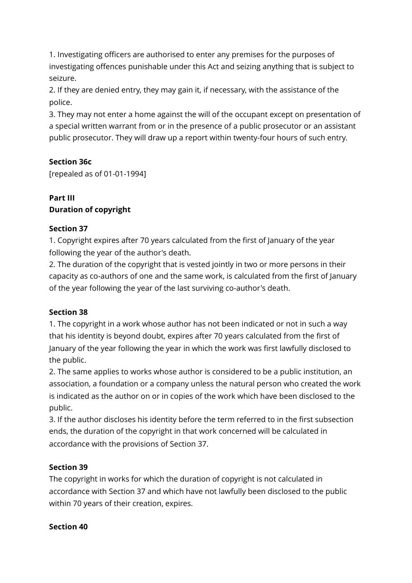1. Investigating officers are authorised to enter any premises for the purposes of investigating offences punishable under this Act and seizing anything that is subject to seizure.

2. If they are denied entry, they may gain it, if necessary, with the assistance of the police.

3. They may not enter a home against the will of the occupant except on presentation of a special written warrant from or in the presence of a public prosecutor or an assistant public prosecutor. They will draw up a report within twenty-four hours of such entry.

# **Section 36c**

[repealed as of 01-01-1994]

# **Part III Duration of copyright**

## **Section 37**

1. Copyright expires after 70 years calculated from the first of January of the year following the year of the author's death.

2. The duration of the copyright that is vested jointly in two or more persons in their capacity as co-authors of one and the same work, is calculated from the first of January of the year following the year of the last surviving co-author's death.

## **Section 38**

1. The copyright in a work whose author has not been indicated or not in such a way that his identity is beyond doubt, expires after 70 years calculated from the first of January of the year following the year in which the work was first lawfully disclosed to the public.

2. The same applies to works whose author is considered to be a public institution, an association, a foundation or a company unless the natural person who created the work is indicated as the author on or in copies of the work which have been disclosed to the public.

3. If the author discloses his identity before the term referred to in the first subsection ends, the duration of the copyright in that work concerned will be calculated in accordance with the provisions of Section 37.

## **Section 39**

The copyright in works for which the duration of copyright is not calculated in accordance with Section 37 and which have not lawfully been disclosed to the public within 70 years of their creation, expires.

## **Section 40**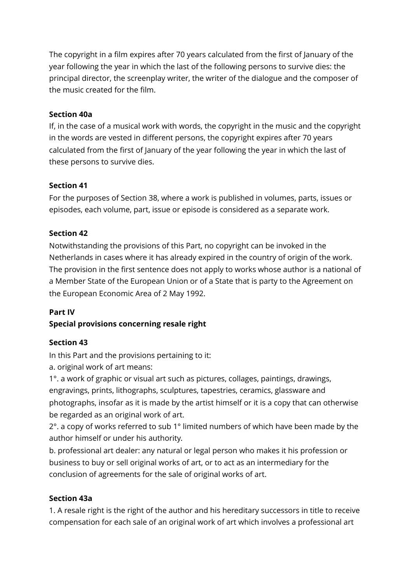The copyright in a film expires after 70 years calculated from the first of January of the year following the year in which the last of the following persons to survive dies: the principal director, the screenplay writer, the writer of the dialogue and the composer of the music created for the film.

# **Section 40a**

If, in the case of a musical work with words, the copyright in the music and the copyright in the words are vested in different persons, the copyright expires after 70 years calculated from the first of January of the year following the year in which the last of these persons to survive dies.

# **Section 41**

For the purposes of Section 38, where a work is published in volumes, parts, issues or episodes, each volume, part, issue or episode is considered as a separate work.

# **Section 42**

Notwithstanding the provisions of this Part, no copyright can be invoked in the Netherlands in cases where it has already expired in the country of origin of the work. The provision in the first sentence does not apply to works whose author is a national of a Member State of the European Union or of a State that is party to the Agreement on the European Economic Area of 2 May 1992.

# **Part IV**

# **Special provisions concerning resale right**

# **Section 43**

In this Part and the provisions pertaining to it:

a. original work of art means:

1°. a work of graphic or visual art such as pictures, collages, paintings, drawings, engravings, prints, lithographs, sculptures, tapestries, ceramics, glassware and photographs, insofar as it is made by the artist himself or it is a copy that can otherwise be regarded as an original work of art.

2°. a copy of works referred to sub 1° limited numbers of which have been made by the author himself or under his authority.

b. professional art dealer: any natural or legal person who makes it his profession or business to buy or sell original works of art, or to act as an intermediary for the conclusion of agreements for the sale of original works of art.

# **Section 43a**

1. A resale right is the right of the author and his hereditary successors in title to receive compensation for each sale of an original work of art which involves a professional art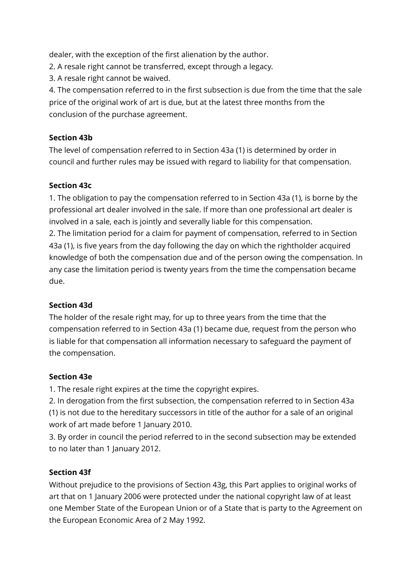dealer, with the exception of the first alienation by the author.

2. A resale right cannot be transferred, except through a legacy.

3. A resale right cannot be waived.

4. The compensation referred to in the first subsection is due from the time that the sale price of the original work of art is due, but at the latest three months from the conclusion of the purchase agreement.

# **Section 43b**

The level of compensation referred to in Section 43a (1) is determined by order in council and further rules may be issued with regard to liability for that compensation.

# **Section 43c**

1. The obligation to pay the compensation referred to in Section 43a (1), is borne by the professional art dealer involved in the sale. If more than one professional art dealer is involved in a sale, each is jointly and severally liable for this compensation. 2. The limitation period for a claim for payment of compensation, referred to in Section 43a (1), is five years from the day following the day on which the rightholder acquired knowledge of both the compensation due and of the person owing the compensation. In any case the limitation period is twenty years from the time the compensation became due.

## **Section 43d**

The holder of the resale right may, for up to three years from the time that the compensation referred to in Section 43a (1) became due, request from the person who is liable for that compensation all information necessary to safeguard the payment of the compensation.

## **Section 43e**

1. The resale right expires at the time the copyright expires.

2. In derogation from the first subsection, the compensation referred to in Section 43a (1) is not due to the hereditary successors in title of the author for a sale of an original work of art made before 1 January 2010.

3. By order in council the period referred to in the second subsection may be extended to no later than 1 January 2012.

# **Section 43f**

Without prejudice to the provisions of Section 43g, this Part applies to original works of art that on 1 January 2006 were protected under the national copyright law of at least one Member State of the European Union or of a State that is party to the Agreement on the European Economic Area of 2 May 1992.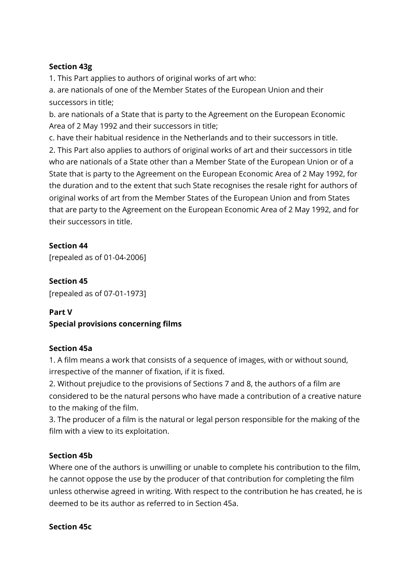# **Section 43g**

1. This Part applies to authors of original works of art who:

a. are nationals of one of the Member States of the European Union and their successors in title;

b. are nationals of a State that is party to the Agreement on the European Economic Area of 2 May 1992 and their successors in title;

c. have their habitual residence in the Netherlands and to their successors in title. 2. This Part also applies to authors of original works of art and their successors in title who are nationals of a State other than a Member State of the European Union or of a State that is party to the Agreement on the European Economic Area of 2 May 1992, for the duration and to the extent that such State recognises the resale right for authors of original works of art from the Member States of the European Union and from States that are party to the Agreement on the European Economic Area of 2 May 1992, and for their successors in title.

# **Section 44**

[repealed as of 01-04-2006]

**Section 45** [repealed as of 07-01-1973]

# **Part V**

# **Special provisions concerning films**

## **Section 45a**

1. A film means a work that consists of a sequence of images, with or without sound, irrespective of the manner of fixation, if it is fixed.

2. Without prejudice to the provisions of Sections 7 and 8, the authors of a film are considered to be the natural persons who have made a contribution of a creative nature to the making of the film.

3. The producer of a film is the natural or legal person responsible for the making of the film with a view to its exploitation.

## **Section 45b**

Where one of the authors is unwilling or unable to complete his contribution to the film, he cannot oppose the use by the producer of that contribution for completing the film unless otherwise agreed in writing. With respect to the contribution he has created, he is deemed to be its author as referred to in Section 45a.

## **Section 45c**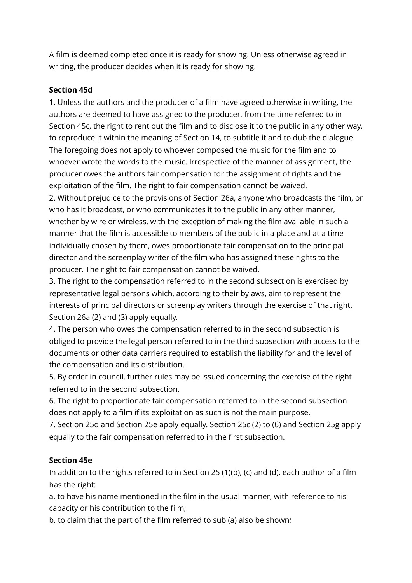A film is deemed completed once it is ready for showing. Unless otherwise agreed in writing, the producer decides when it is ready for showing.

## **Section 45d**

1. Unless the authors and the producer of a film have agreed otherwise in writing, the authors are deemed to have assigned to the producer, from the time referred to in Section 45c, the right to rent out the film and to disclose it to the public in any other way, to reproduce it within the meaning of Section 14, to subtitle it and to dub the dialogue. The foregoing does not apply to whoever composed the music for the film and to whoever wrote the words to the music. Irrespective of the manner of assignment, the producer owes the authors fair compensation for the assignment of rights and the exploitation of the film. The right to fair compensation cannot be waived.

2. Without prejudice to the provisions of Section 26a, anyone who broadcasts the film, or who has it broadcast, or who communicates it to the public in any other manner, whether by wire or wireless, with the exception of making the film available in such a manner that the film is accessible to members of the public in a place and at a time individually chosen by them, owes proportionate fair compensation to the principal director and the screenplay writer of the film who has assigned these rights to the producer. The right to fair compensation cannot be waived.

3. The right to the compensation referred to in the second subsection is exercised by representative legal persons which, according to their bylaws, aim to represent the interests of principal directors or screenplay writers through the exercise of that right. Section 26a (2) and (3) apply equally.

4. The person who owes the compensation referred to in the second subsection is obliged to provide the legal person referred to in the third subsection with access to the documents or other data carriers required to establish the liability for and the level of the compensation and its distribution.

5. By order in council, further rules may be issued concerning the exercise of the right referred to in the second subsection.

6. The right to proportionate fair compensation referred to in the second subsection does not apply to a film if its exploitation as such is not the main purpose.

7. Section 25d and Section 25e apply equally. Section 25c (2) to (6) and Section 25g apply equally to the fair compensation referred to in the first subsection.

## **Section 45e**

In addition to the rights referred to in Section 25 (1)(b), (c) and (d), each author of a film has the right:

a. to have his name mentioned in the film in the usual manner, with reference to his capacity or his contribution to the film;

b. to claim that the part of the film referred to sub (a) also be shown;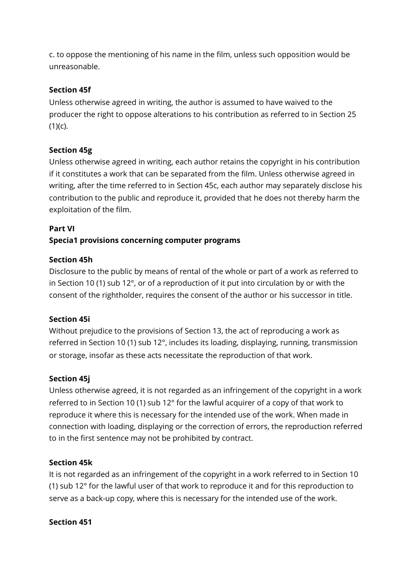c. to oppose the mentioning of his name in the film, unless such opposition would be unreasonable.

# **Section 45f**

Unless otherwise agreed in writing, the author is assumed to have waived to the producer the right to oppose alterations to his contribution as referred to in Section 25  $(1)(c)$ .

# **Section 45g**

Unless otherwise agreed in writing, each author retains the copyright in his contribution if it constitutes a work that can be separated from the film. Unless otherwise agreed in writing, after the time referred to in Section 45c, each author may separately disclose his contribution to the public and reproduce it, provided that he does not thereby harm the exploitation of the film.

## **Part VI**

# **Specia1 provisions concerning computer programs**

## **Section 45h**

Disclosure to the public by means of rental of the whole or part of a work as referred to in Section 10 (1) sub 12°, or of a reproduction of it put into circulation by or with the consent of the rightholder, requires the consent of the author or his successor in title.

## **Section 45i**

Without prejudice to the provisions of Section 13, the act of reproducing a work as referred in Section 10 (1) sub 12°, includes its loading, displaying, running, transmission or storage, insofar as these acts necessitate the reproduction of that work.

## **Section 45j**

Unless otherwise agreed, it is not regarded as an infringement of the copyright in a work referred to in Section 10 (1) sub 12° for the lawful acquirer of a copy of that work to reproduce it where this is necessary for the intended use of the work. When made in connection with loading, displaying or the correction of errors, the reproduction referred to in the first sentence may not be prohibited by contract.

## **Section 45k**

It is not regarded as an infringement of the copyright in a work referred to in Section 10 (1) sub 12° for the lawful user of that work to reproduce it and for this reproduction to serve as a back-up copy, where this is necessary for the intended use of the work.

#### **Section 451**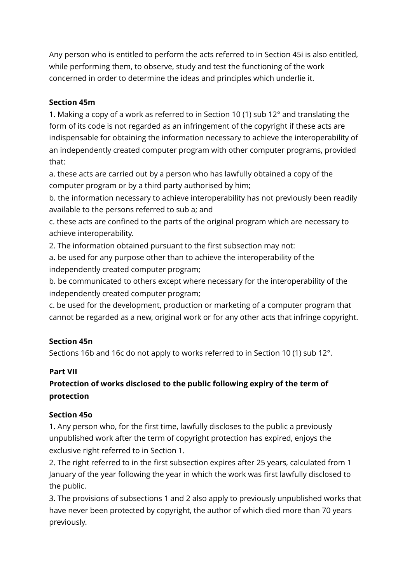Any person who is entitled to perform the acts referred to in Section 45i is also entitled, while performing them, to observe, study and test the functioning of the work concerned in order to determine the ideas and principles which underlie it.

# **Section 45m**

1. Making a copy of a work as referred to in Section 10 (1) sub 12° and translating the form of its code is not regarded as an infringement of the copyright if these acts are indispensable for obtaining the information necessary to achieve the interoperability of an independently created computer program with other computer programs, provided that:

a. these acts are carried out by a person who has lawfully obtained a copy of the computer program or by a third party authorised by him;

b. the information necessary to achieve interoperability has not previously been readily available to the persons referred to sub a; and

c. these acts are confined to the parts of the original program which are necessary to achieve interoperability.

2. The information obtained pursuant to the first subsection may not:

a. be used for any purpose other than to achieve the interoperability of the independently created computer program;

b. be communicated to others except where necessary for the interoperability of the independently created computer program;

c. be used for the development, production or marketing of a computer program that cannot be regarded as a new, original work or for any other acts that infringe copyright.

# **Section 45n**

Sections 16b and 16c do not apply to works referred to in Section 10 (1) sub 12°.

# **Part VII**

# **Protection of works disclosed to the public following expiry of the term of protection**

## **Section 45o**

1. Any person who, for the first time, lawfully discloses to the public a previously unpublished work after the term of copyright protection has expired, enjoys the exclusive right referred to in Section 1.

2. The right referred to in the first subsection expires after 25 years, calculated from 1 January of the year following the year in which the work was first lawfully disclosed to the public.

3. The provisions of subsections 1 and 2 also apply to previously unpublished works that have never been protected by copyright, the author of which died more than 70 years previously.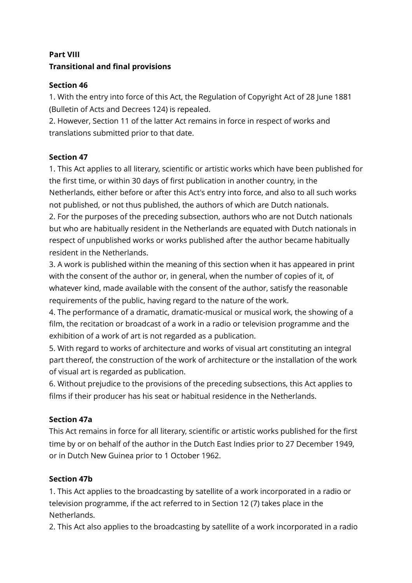# **Part VIII Transitional and final provisions**

# **Section 46**

1. With the entry into force of this Act, the Regulation of Copyright Act of 28 June 1881 (Bulletin of Acts and Decrees 124) is repealed.

2. However, Section 11 of the latter Act remains in force in respect of works and translations submitted prior to that date.

# **Section 47**

1. This Act applies to all literary, scientific or artistic works which have been published for the first time, or within 30 days of first publication in another country, in the Netherlands, either before or after this Act's entry into force, and also to all such works not published, or not thus published, the authors of which are Dutch nationals. 2. For the purposes of the preceding subsection, authors who are not Dutch nationals but who are habitually resident in the Netherlands are equated with Dutch nationals in respect of unpublished works or works published after the author became habitually resident in the Netherlands.

3. A work is published within the meaning of this section when it has appeared in print with the consent of the author or, in general, when the number of copies of it, of whatever kind, made available with the consent of the author, satisfy the reasonable requirements of the public, having regard to the nature of the work.

4. The performance of a dramatic, dramatic-musical or musical work, the showing of a film, the recitation or broadcast of a work in a radio or television programme and the exhibition of a work of art is not regarded as a publication.

5. With regard to works of architecture and works of visual art constituting an integral part thereof, the construction of the work of architecture or the installation of the work of visual art is regarded as publication.

6. Without prejudice to the provisions of the preceding subsections, this Act applies to films if their producer has his seat or habitual residence in the Netherlands.

# **Section 47a**

This Act remains in force for all literary, scientific or artistic works published for the first time by or on behalf of the author in the Dutch East Indies prior to 27 December 1949, or in Dutch New Guinea prior to 1 October 1962.

# **Section 47b**

1. This Act applies to the broadcasting by satellite of a work incorporated in a radio or television programme, if the act referred to in Section 12 (7) takes place in the Netherlands.

2. This Act also applies to the broadcasting by satellite of a work incorporated in a radio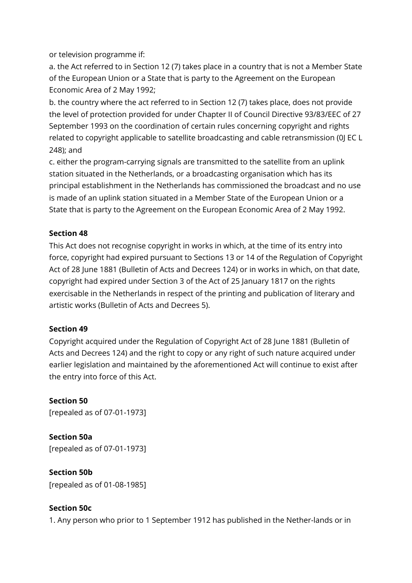or television programme if:

a. the Act referred to in Section 12 (7) takes place in a country that is not a Member State of the European Union or a State that is party to the Agreement on the European Economic Area of 2 May 1992;

b. the country where the act referred to in Section 12 (7) takes place, does not provide the level of protection provided for under Chapter II of Council Directive 93/83/EEC of 27 September 1993 on the coordination of certain rules concerning copyright and rights related to copyright applicable to satellite broadcasting and cable retransmission (0J EC L 248); and

c. either the program-carrying signals are transmitted to the satellite from an uplink station situated in the Netherlands, or a broadcasting organisation which has its principal establishment in the Netherlands has commissioned the broadcast and no use is made of an uplink station situated in a Member State of the European Union or a State that is party to the Agreement on the European Economic Area of 2 May 1992.

# **Section 48**

This Act does not recognise copyright in works in which, at the time of its entry into force, copyright had expired pursuant to Sections 13 or 14 of the Regulation of Copyright Act of 28 June 1881 (Bulletin of Acts and Decrees 124) or in works in which, on that date, copyright had expired under Section 3 of the Act of 25 January 1817 on the rights exercisable in the Netherlands in respect of the printing and publication of literary and artistic works (Bulletin of Acts and Decrees 5).

## **Section 49**

Copyright acquired under the Regulation of Copyright Act of 28 June 1881 (Bulletin of Acts and Decrees 124) and the right to copy or any right of such nature acquired under earlier legislation and maintained by the aforementioned Act will continue to exist after the entry into force of this Act.

# **Section 50**

[repealed as of 07-01-1973]

**Section 50a** [repealed as of 07-01-1973]

**Section 50b** [repealed as of 01-08-1985]

# **Section 50c**

1. Any person who prior to 1 September 1912 has published in the Nether-lands or in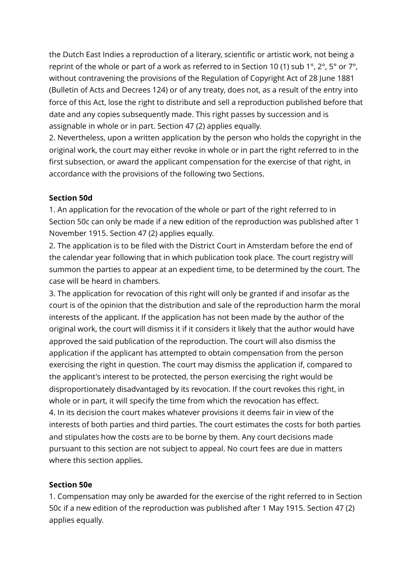the Dutch East Indies a reproduction of a literary, scientific or artistic work, not being a reprint of the whole or part of a work as referred to in Section 10 (1) sub 1°,  $2^{\circ}$ ,  $5^{\circ}$  or  $7^{\circ}$ , without contravening the provisions of the Regulation of Copyright Act of 28 June 1881 (Bulletin of Acts and Decrees 124) or of any treaty, does not, as a result of the entry into force of this Act, lose the right to distribute and sell a reproduction published before that date and any copies subsequently made. This right passes by succession and is assignable in whole or in part. Section 47 (2) applies equally.

2. Nevertheless, upon a written application by the person who holds the copyright in the original work, the court may either revoke in whole or in part the right referred to in the first subsection, or award the applicant compensation for the exercise of that right, in accordance with the provisions of the following two Sections.

#### **Section 50d**

1. An application for the revocation of the whole or part of the right referred to in Section 50c can only be made if a new edition of the reproduction was published after 1 November 1915. Section 47 (2) applies equally.

2. The application is to be filed with the District Court in Amsterdam before the end of the calendar year following that in which publication took place. The court registry will summon the parties to appear at an expedient time, to be determined by the court. The case will be heard in chambers.

3. The application for revocation of this right will only be granted if and insofar as the court is of the opinion that the distribution and sale of the reproduction harm the moral interests of the applicant. If the application has not been made by the author of the original work, the court will dismiss it if it considers it likely that the author would have approved the said publication of the reproduction. The court will also dismiss the application if the applicant has attempted to obtain compensation from the person exercising the right in question. The court may dismiss the application if, compared to the applicant's interest to be protected, the person exercising the right would be disproportionately disadvantaged by its revocation. If the court revokes this right, in whole or in part, it will specify the time from which the revocation has effect. 4. In its decision the court makes whatever provisions it deems fair in view of the interests of both parties and third parties. The court estimates the costs for both parties and stipulates how the costs are to be borne by them. Any court decisions made pursuant to this section are not subject to appeal. No court fees are due in matters where this section applies.

## **Section 50e**

1. Compensation may only be awarded for the exercise of the right referred to in Section 50c if a new edition of the reproduction was published after 1 May 1915. Section 47 (2) applies equally.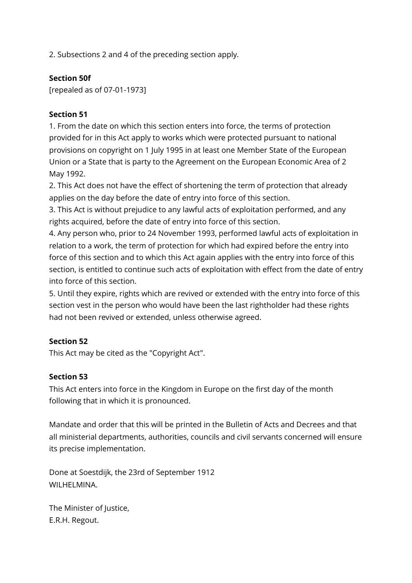2. Subsections 2 and 4 of the preceding section apply.

# **Section 50f**

[repealed as of 07-01-1973]

# **Section 51**

1. From the date on which this section enters into force, the terms of protection provided for in this Act apply to works which were protected pursuant to national provisions on copyright on 1 July 1995 in at least one Member State of the European Union or a State that is party to the Agreement on the European Economic Area of 2 May 1992.

2. This Act does not have the effect of shortening the term of protection that already applies on the day before the date of entry into force of this section.

3. This Act is without prejudice to any lawful acts of exploitation performed, and any rights acquired, before the date of entry into force of this section.

4. Any person who, prior to 24 November 1993, performed lawful acts of exploitation in relation to a work, the term of protection for which had expired before the entry into force of this section and to which this Act again applies with the entry into force of this section, is entitled to continue such acts of exploitation with effect from the date of entry into force of this section.

5. Until they expire, rights which are revived or extended with the entry into force of this section vest in the person who would have been the last rightholder had these rights had not been revived or extended, unless otherwise agreed.

## **Section 52**

This Act may be cited as the "Copyright Act".

## **Section 53**

This Act enters into force in the Kingdom in Europe on the first day of the month following that in which it is pronounced.

Mandate and order that this will be printed in the Bulletin of Acts and Decrees and that all ministerial departments, authorities, councils and civil servants concerned will ensure its precise implementation.

Done at Soestdijk, the 23rd of September 1912 WII HFI MINA.

The Minister of Justice, E.R.H. Regout.